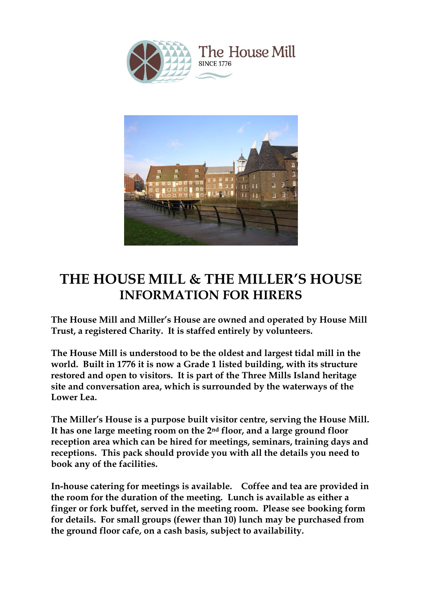

The House Mill **SINCE 1776** 



# **THE HOUSE MILL & THE MILLER'S HOUSE INFORMATION FOR HIRERS**

**The House Mill and Miller's House are owned and operated by House Mill Trust, a registered Charity. It is staffed entirely by volunteers.**

**The House Mill is understood to be the oldest and largest tidal mill in the world. Built in 1776 it is now a Grade 1 listed building, with its structure restored and open to visitors. It is part of the Three Mills Island heritage site and conversation area, which is surrounded by the waterways of the Lower Lea.**

**The Miller's House is a purpose built visitor centre, serving the House Mill. It has one large meeting room on the 2nd floor, and a large ground floor reception area which can be hired for meetings, seminars, training days and receptions. This pack should provide you with all the details you need to book any of the facilities.**

**In-house catering for meetings is available. Coffee and tea are provided in the room for the duration of the meeting. Lunch is available as either a finger or fork buffet, served in the meeting room. Please see booking form for details. For small groups (fewer than 10) lunch may be purchased from the ground floor cafe, on a cash basis, subject to availability.**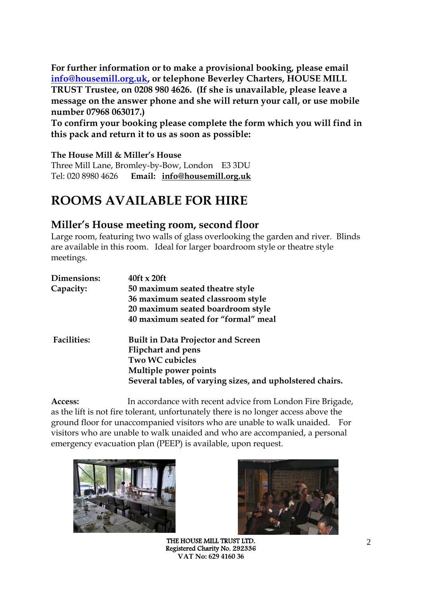**For further information or to make a provisional booking, please email [info@housemill.org.uk,](mailto:info@housemill.org.uk) or telephone Beverley Charters, HOUSE MILL TRUST Trustee, on 0208 980 4626. (If she is unavailable, please leave a message on the answer phone and she will return your call, or use mobile number 07968 063017.)** 

**To confirm your booking please complete the form which you will find in this pack and return it to us as soon as possible:** 

**The House Mill & Miller's House**

Three Mill Lane, Bromley-by-Bow, London E3 3DU Tel: 020 8980 4626 **Email: [info@housemill.org.uk](mailto:info@housemill.org.uk)**

# **ROOMS AVAILABLE FOR HIRE**

#### **Miller's House meeting room, second floor**

Large room, featuring two walls of glass overlooking the garden and river. Blinds are available in this room. Ideal for larger boardroom style or theatre style meetings.

| $40$ ft x 20ft                                            |
|-----------------------------------------------------------|
| 50 maximum seated theatre style                           |
| 36 maximum seated classroom style                         |
| 20 maximum seated boardroom style                         |
| 40 maximum seated for "formal" meal                       |
| <b>Built in Data Projector and Screen</b>                 |
| <b>Flipchart and pens</b>                                 |
| <b>Two WC cubicles</b>                                    |
| Multiple power points                                     |
| Several tables, of varying sizes, and upholstered chairs. |
|                                                           |

**Access:** In accordance with recent advice from London Fire Brigade, as the lift is not fire tolerant, unfortunately there is no longer access above the ground floor for unaccompanied visitors who are unable to walk unaided. For visitors who are unable to walk unaided and who are accompanied, a personal emergency evacuation plan (PEEP) is available, upon request.





THE HOUSE MILL TRUST LTD. Registered Charity No. 292336 **VAT No: 629 4160 36**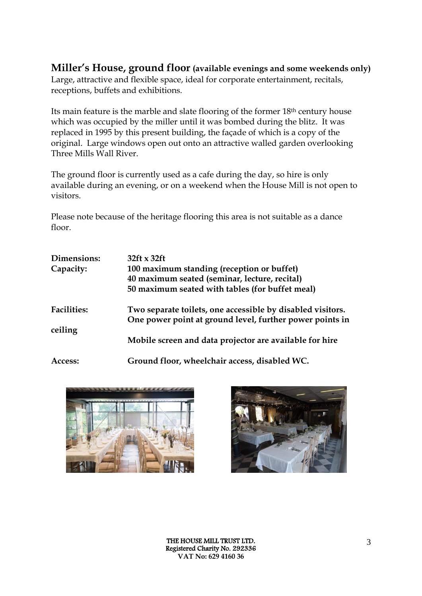#### **Miller's House, ground floor (available evenings and some weekends only)** Large, attractive and flexible space, ideal for corporate entertainment, recitals, receptions, buffets and exhibitions.

Its main feature is the marble and slate flooring of the former 18th century house which was occupied by the miller until it was bombed during the blitz. It was replaced in 1995 by this present building, the façade of which is a copy of the original. Large windows open out onto an attractive walled garden overlooking Three Mills Wall River.

The ground floor is currently used as a cafe during the day, so hire is only available during an evening, or on a weekend when the House Mill is not open to visitors.

Please note because of the heritage flooring this area is not suitable as a dance floor.

| Dimensions:<br>Capacity:      | $32ft \times 32ft$<br>100 maximum standing (reception or buffet)<br>40 maximum seated (seminar, lecture, recital)<br>50 maximum seated with tables (for buffet meal) |  |  |  |
|-------------------------------|----------------------------------------------------------------------------------------------------------------------------------------------------------------------|--|--|--|
| <b>Facilities:</b><br>ceiling | Two separate toilets, one accessible by disabled visitors.<br>One power point at ground level, further power points in                                               |  |  |  |
|                               | Mobile screen and data projector are available for hire                                                                                                              |  |  |  |
| Access:                       | Ground floor, wheelchair access, disabled WC.                                                                                                                        |  |  |  |



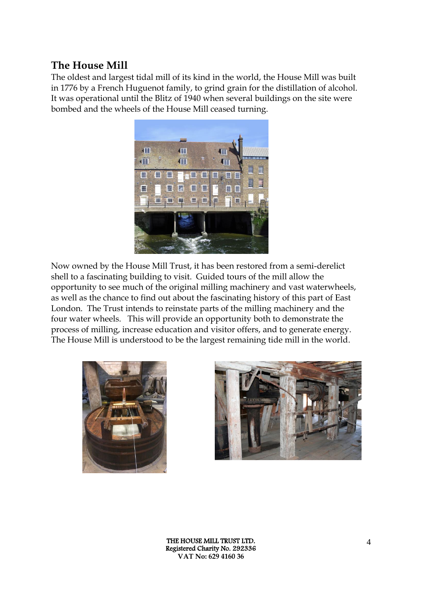### **The House Mill**

The oldest and largest tidal mill of its kind in the world, the House Mill was built in 1776 by a French Huguenot family, to grind grain for the distillation of alcohol. It was operational until the Blitz of 1940 when several buildings on the site were bombed and the wheels of the House Mill ceased turning.



Now owned by the House Mill Trust, it has been restored from a semi-derelict shell to a fascinating building to visit. Guided tours of the mill allow the opportunity to see much of the original milling machinery and vast waterwheels, as well as the chance to find out about the fascinating history of this part of East London. The Trust intends to reinstate parts of the milling machinery and the four water wheels. This will provide an opportunity both to demonstrate the process of milling, increase education and visitor offers, and to generate energy. The House Mill is understood to be the largest remaining tide mill in the world.



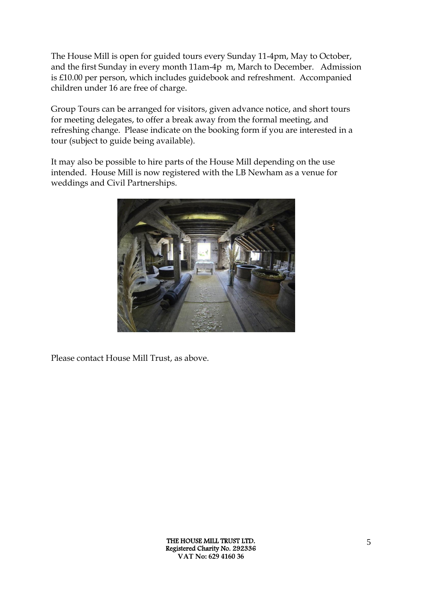The House Mill is open for guided tours every Sunday 11-4pm, May to October, and the first Sunday in every month 11am-4p m, March to December. Admission is £10.00 per person, which includes guidebook and refreshment. Accompanied children under 16 are free of charge.

Group Tours can be arranged for visitors, given advance notice, and short tours for meeting delegates, to offer a break away from the formal meeting, and refreshing change. Please indicate on the booking form if you are interested in a tour (subject to guide being available).

It may also be possible to hire parts of the House Mill depending on the use intended. House Mill is now registered with the LB Newham as a venue for weddings and Civil Partnerships.



Please contact House Mill Trust, as above.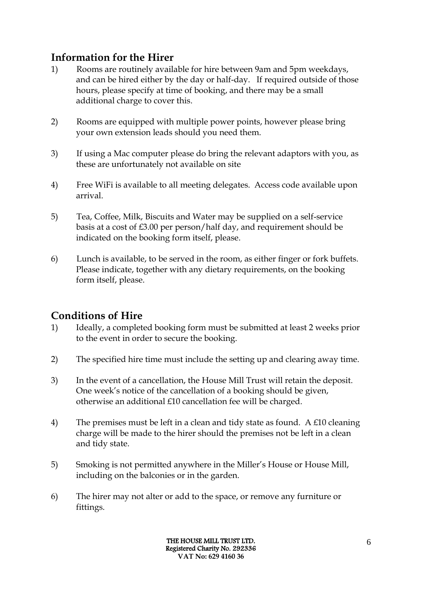## **Information for the Hirer**

- 1) Rooms are routinely available for hire between 9am and 5pm weekdays, and can be hired either by the day or half-day. If required outside of those hours, please specify at time of booking, and there may be a small additional charge to cover this.
- 2) Rooms are equipped with multiple power points, however please bring your own extension leads should you need them.
- 3) If using a Mac computer please do bring the relevant adaptors with you, as these are unfortunately not available on site
- 4) Free WiFi is available to all meeting delegates. Access code available upon arrival.
- 5) Tea, Coffee, Milk, Biscuits and Water may be supplied on a self-service basis at a cost of £3.00 per person/half day, and requirement should be indicated on the booking form itself, please.
- 6) Lunch is available, to be served in the room, as either finger or fork buffets. Please indicate, together with any dietary requirements, on the booking form itself, please.

## **Conditions of Hire**

- 1) Ideally, a completed booking form must be submitted at least 2 weeks prior to the event in order to secure the booking.
- 2) The specified hire time must include the setting up and clearing away time.
- 3) In the event of a cancellation, the House Mill Trust will retain the deposit. One week's notice of the cancellation of a booking should be given, otherwise an additional £10 cancellation fee will be charged.
- 4) The premises must be left in a clean and tidy state as found. A £10 cleaning charge will be made to the hirer should the premises not be left in a clean and tidy state.
- 5) Smoking is not permitted anywhere in the Miller's House or House Mill, including on the balconies or in the garden.
- 6) The hirer may not alter or add to the space, or remove any furniture or fittings.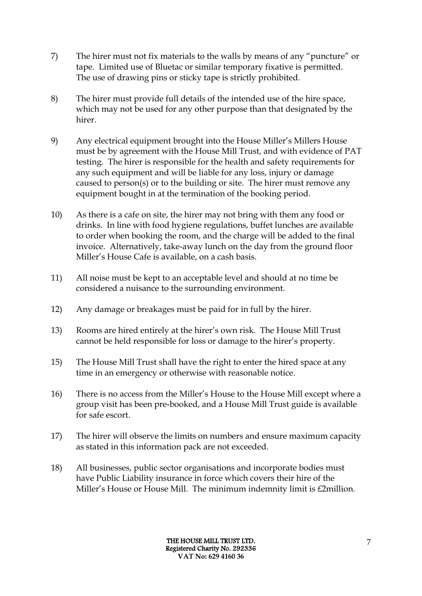- 7) The hirer must not fix materials to the walls by means of any "puncture" or tape. Limited use of Bluetac or similar temporary fixative is permitted. The use of drawing pins or sticky tape is strictly prohibited.
- 8) The hirer must provide full details of the intended use of the hire space, which may not be used for any other purpose than that designated by the hirer.
- 9) Any electrical equipment brought into the House Miller's Millers House must be by agreement with the House Mill Trust, and with evidence of PAT testing. The hirer is responsible for the health and safety requirements for any such equipment and will be liable for any loss, injury or damage caused to person(s) or to the building or site. The hirer must remove any equipment bought in at the termination of the booking period.
- 10) As there is a cafe on site, the hirer may not bring with them any food or drinks. In line with food hygiene regulations, buffet lunches are available to order when booking the room, and the charge will be added to the final invoice. Alternatively, take-away lunch on the day from the ground floor Miller's House Cafe is available, on a cash basis.
- 11) All noise must be kept to an acceptable level and should at no time be considered a nuisance to the surrounding environment.
- 12) Any damage or breakages must be paid for in full by the hirer.
- 13) Rooms are hired entirely at the hirer's own risk. The House Mill Trust cannot be held responsible for loss or damage to the hirer's property.
- 15) The House Mill Trust shall have the right to enter the hired space at any time in an emergency or otherwise with reasonable notice.
- 16) There is no access from the Miller's House to the House Mill except where a group visit has been pre-booked, and a House Mill Trust guide is available for safe escort.
- 17) The hirer will observe the limits on numbers and ensure maximum capacity as stated in this information pack are not exceeded.
- 18) All businesses, public sector organisations and incorporate bodies must have Public Liability insurance in force which covers their hire of the Miller's House or House Mill. The minimum indemnity limit is £2million.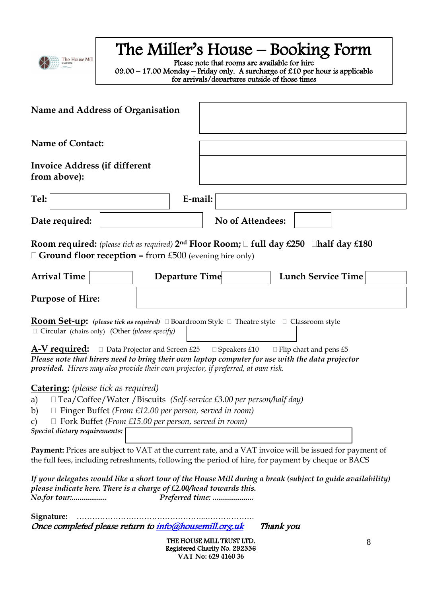

# The Miller's House – Booking Form

Please note that rooms are available for hire  $09.00 - 17.00$  Monday – Friday only. A surcharge of £10 per hour is applicable for arrivals/departures outside of those times

Rates for weekend or evening hire are available upon request

| Name and Address of Organisation                                                                                                                                                                                                                                                                                |                |                         |                               |  |
|-----------------------------------------------------------------------------------------------------------------------------------------------------------------------------------------------------------------------------------------------------------------------------------------------------------------|----------------|-------------------------|-------------------------------|--|
| <b>Name of Contact:</b>                                                                                                                                                                                                                                                                                         |                |                         |                               |  |
| <b>Invoice Address (if different</b><br>from above):                                                                                                                                                                                                                                                            |                |                         |                               |  |
| Tel:                                                                                                                                                                                                                                                                                                            | E-mail:        |                         |                               |  |
| Date required:                                                                                                                                                                                                                                                                                                  |                | <b>No of Attendees:</b> |                               |  |
| <b>Room required:</b> (please tick as required) $2^{nd}$ Floor Room; $\Box$ full day £250 $\Box$ half day £180<br>$\Box$ Ground floor reception – from £500 (evening hire only)                                                                                                                                 |                |                         |                               |  |
| <b>Arrival Time</b>                                                                                                                                                                                                                                                                                             | Departure Time |                         | <b>Lunch Service Time</b>     |  |
| <b>Purpose of Hire:</b>                                                                                                                                                                                                                                                                                         |                |                         |                               |  |
| <b>Room Set-up:</b> (please tick as required) □ Boardroom Style □ Theatre style □ Classroom style<br>$\Box$ Circular (chairs only) (Other (please specify)                                                                                                                                                      |                |                         |                               |  |
| <b>A-V required:</b> $\Box$ Data Projector and Screen £25<br>Please note that hirers need to bring their own laptop computer for use with the data projector<br>provided. Hirers may also provide their own projector, if preferred, at own risk.                                                               |                | $\Box$ Speakers £10     | $\Box$ Flip chart and pens £5 |  |
| <b>Catering:</b> (please tick as required)<br>□ Tea/Coffee/Water / Biscuits (Self-service £3.00 per person/half day)<br>a)<br>b) $\Box$ Finger Buffet (From £12.00 per person, served in room)<br>$\Box$ Fork Buffet (From £15.00 per person, served in room)<br>$\mathcal{C}$<br>Special dietary requirements: |                |                         |                               |  |
| Payment: Prices are subject to VAT at the current rate, and a VAT invoice will be issued for payment of<br>the full fees, including refreshments, following the period of hire, for payment by cheque or BACS                                                                                                   |                |                         |                               |  |
| If your delegates would like a short tour of the House Mill during a break (subject to guide availability)<br>please indicate here. There is a charge of £2.00/head towards this.<br>No.for tour:                                                                                                               |                | Preferred time:         |                               |  |

**Signature:** …………………………………………..……………….

Once completed please return to *info@housemill.org.uk* Thank you

THE HOUSE MILL TRUST LTD. Registered Charity No. 292336 **VAT No: 629 4160 36**